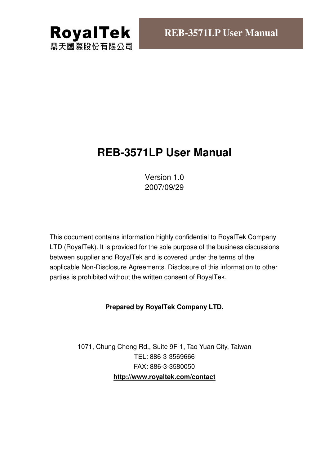

## **REB-3571LP User Manual**

Version 1.0 2007/09/29

This document contains information highly confidential to RoyalTek Company LTD (RoyalTek). It is provided for the sole purpose of the business discussions between supplier and RoyalTek and is covered under the terms of the applicable Non-Disclosure Agreements. Disclosure of this information to other parties is prohibited without the written consent of RoyalTek.

#### **Prepared by RoyalTek Company LTD.**

1071, Chung Cheng Rd., Suite 9F-1, Tao Yuan City, Taiwan TEL: 886-3-3569666 FAX: 886-3-3580050 **http://www.royaltek.com/contact**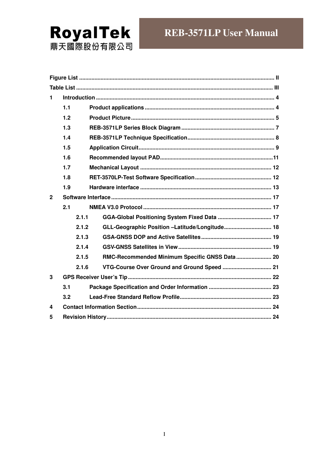# **RoyalTek**<br>鼎天國際股份有限公司

| $\mathbf{1}$ |       |                                                |  |
|--------------|-------|------------------------------------------------|--|
|              | 1.1   |                                                |  |
|              | 1.2   |                                                |  |
|              | 1.3   |                                                |  |
|              | 1.4   |                                                |  |
|              | 1.5   |                                                |  |
|              | 1.6   |                                                |  |
|              | 1.7   |                                                |  |
|              | 1.8   |                                                |  |
|              | 1.9   |                                                |  |
| $\mathbf{2}$ |       |                                                |  |
|              | 2.1   |                                                |  |
|              | 2.1.1 |                                                |  |
|              | 2.1.2 | GLL-Geographic Position -Latitude/Longitude 18 |  |
|              | 2.1.3 |                                                |  |
|              | 2.1.4 |                                                |  |
|              | 2.1.5 | RMC-Recommended Minimum Specific GNSS Data 20  |  |
|              | 2.1.6 |                                                |  |
| 3            |       |                                                |  |
|              | 3.1   |                                                |  |
|              | 3.2   |                                                |  |
| 4            |       |                                                |  |
| 5            |       |                                                |  |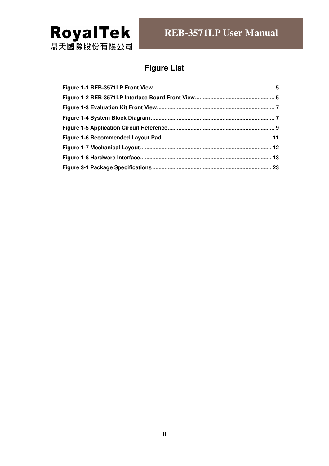

### **Figure List**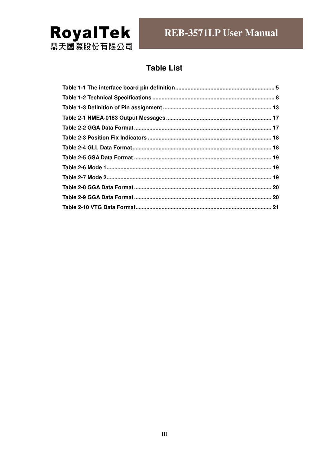

### **Table List**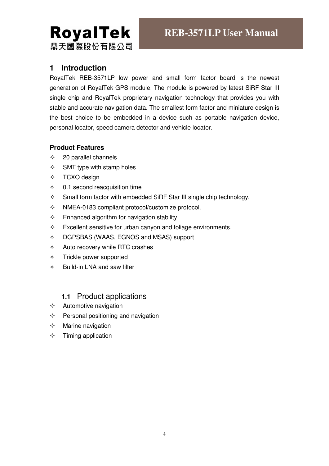# **RoyalTek** 鼎天國際股份有限公司

#### **1 Introduction**

RoyalTek REB-3571LP low power and small form factor board is the newest generation of RoyalTek GPS module. The module is powered by latest SiRF Star III single chip and RoyalTek proprietary navigation technology that provides you with stable and accurate navigation data. The smallest form factor and miniature design is the best choice to be embedded in a device such as portable navigation device, personal locator, speed camera detector and vehicle locator.

#### **Product Features**

- $\div$  20 parallel channels
- $\diamond$  SMT type with stamp holes
- $\div$  TCXO design
- $\div$  0.1 second reacquisition time
- $\Diamond$  Small form factor with embedded SiRF Star III single chip technology.
- $\Diamond$  NMEA-0183 compliant protocol/customize protocol.
- $\Diamond$  Enhanced algorithm for navigation stability
- $\Diamond$  Excellent sensitive for urban canyon and foliage environments.
- $\lozenge$  DGPSBAS (WAAS, EGNOS and MSAS) support
- $\Diamond$  Auto recovery while RTC crashes
- $\div$  Trickle power supported
- $\Leftrightarrow$  Build-in LNA and saw filter

#### **1.1** Product applications

- $\Diamond$  Automotive navigation
- $\Diamond$  Personal positioning and navigation
- $\Diamond$  Marine navigation
- $\Diamond$  Timing application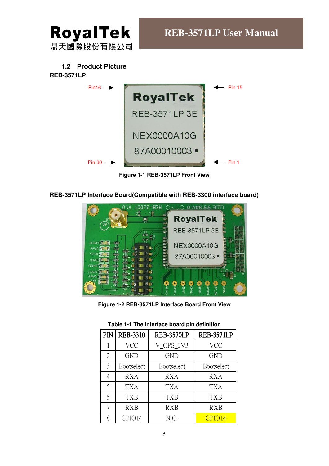

#### **1.2 Product Picture**

#### **REB-3571LP**



**Figure 1-1 REB-3571LP Front View**

**REB-3571LP Interface Board(Compatible with REB-3300 interface board)** 



**Figure 1-2 REB-3571LP Interface Board Front View** 

| PIN | <b>REB-3310</b>   | <b>REB-3570LP</b> | <b>REB-3571LP</b> |
|-----|-------------------|-------------------|-------------------|
|     | <b>VCC</b>        | V_GPS_3V3         | <b>VCC</b>        |
| 2   | <b>GND</b>        | <b>GND</b>        | <b>GND</b>        |
| 3   | <b>Bootselect</b> | Bootselect        | <b>Bootselect</b> |
| 4   | <b>RXA</b>        | RXA               | <b>RXA</b>        |
| 5   | TXA               | TXA               | TXA               |
| 6   | TXB               | TXB               | TXB               |
|     | <b>RXB</b>        | RXB               | RXB               |
| 8   | GPIO14            | N.C.              | GPIO14            |

|  |  | Table 1-1 The interface board pin definition |  |  |
|--|--|----------------------------------------------|--|--|
|--|--|----------------------------------------------|--|--|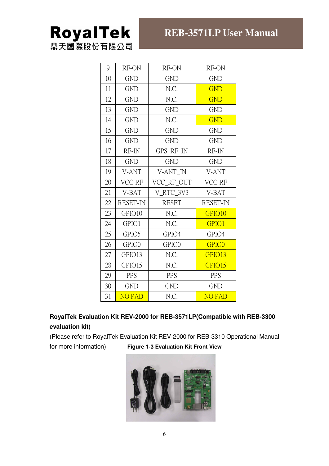## **RoyalTek** 鼎天國際股份有限公司

| 9  | RF-ON<br>RF-ON  |              | RF-ON           |
|----|-----------------|--------------|-----------------|
| 10 | <b>GND</b>      | <b>GND</b>   | <b>GND</b>      |
| 11 | <b>GND</b>      | N.C.         | <b>GND</b>      |
| 12 | <b>GND</b>      | N.C.         | <b>GND</b>      |
| 13 | <b>GND</b>      | <b>GND</b>   | <b>GND</b>      |
| 14 | <b>GND</b>      | N.C.         | <b>GND</b>      |
| 15 | <b>GND</b>      | <b>GND</b>   | <b>GND</b>      |
| 16 | <b>GND</b>      | <b>GND</b>   | <b>GND</b>      |
| 17 | RF-IN           | GPS_RF_IN    | RF-IN           |
| 18 | <b>GND</b>      | <b>GND</b>   | <b>GND</b>      |
| 19 | V-ANT           | V-ANT IN     | V-ANT           |
| 20 | VCC-RF          | VCC_RF_OUT   | VCC-RF          |
| 21 | V-BAT           | V_RTC_3V3    | V-BAT           |
| 22 | <b>RESET-IN</b> | <b>RESET</b> | <b>RESET-IN</b> |
| 23 | GPIO10          | N.C.         | GPIO10          |
| 24 | GPIO1           | N.C.         | GPIO1           |
| 25 | GPIO5           | GPIO4        | GPIO4           |
| 26 | GPIO0           | GPIO0        | GPIO0           |
| 27 | GPIO13          | N.C.         | GPIO13          |
| 28 | GPIO15          | N.C.         | GPIO15          |
| 29 | PPS             | <b>PPS</b>   | PPS             |
| 30 | <b>GND</b>      | <b>GND</b>   | <b>GND</b>      |
| 31 | <b>NO PAD</b>   | N.C.         | <b>NO PAD</b>   |

#### **RoyalTek Evaluation Kit REV-2000 for REB-3571LP(Compatible with REB-3300 evaluation kit)**

(Please refer to RoyalTek Evaluation Kit REV-2000 for REB-3310 Operational Manual

for more information) **Figure 1-3 Evaluation Kit Front View**

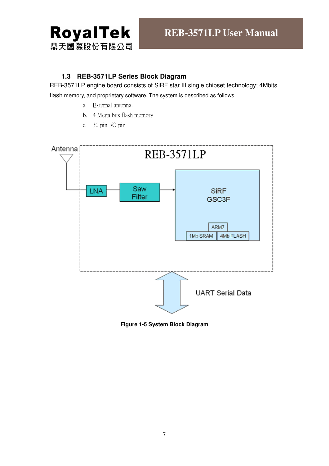

#### **1.3 REB-3571LP Series Block Diagram**

REB-3571LP engine board consists of SiRF star III single chipset technology; 4Mbits flash memory, and proprietary software. The system is described as follows.

- a. External antenna.
- b. 4 Mega bits flash memory
- c. 30 pin I/O pin



#### **Figure 1-5 System Block Diagram**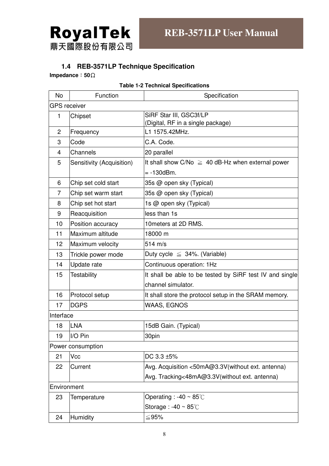

#### **1.4 REB-3571LP Technique Specification**

**Impedance**:**50**Ω

| <b>No</b>                                                  | Function                                                                | Specification                                            |  |  |  |  |
|------------------------------------------------------------|-------------------------------------------------------------------------|----------------------------------------------------------|--|--|--|--|
|                                                            | <b>GPS</b> receiver                                                     |                                                          |  |  |  |  |
| $\mathbf{1}$                                               | SiRF Star III, GSC3f/LP<br>Chipset<br>(Digital, RF in a single package) |                                                          |  |  |  |  |
| $\overline{c}$                                             | Frequency                                                               | L1 1575.42MHz.                                           |  |  |  |  |
| 3                                                          | Code                                                                    | C.A. Code.                                               |  |  |  |  |
| $\overline{4}$                                             | Channels                                                                | 20 parallel                                              |  |  |  |  |
| 5                                                          | Sensitivity (Acquisition)                                               | It shall show $C/No \geq 40$ dB-Hz when external power   |  |  |  |  |
|                                                            |                                                                         | $= -130$ dBm.                                            |  |  |  |  |
| 6                                                          | Chip set cold start                                                     | 35s @ open sky (Typical)                                 |  |  |  |  |
| $\overline{7}$                                             | Chip set warm start                                                     | 35s @ open sky (Typical)                                 |  |  |  |  |
| 8                                                          | Chip set hot start                                                      | 1s @ open sky (Typical)                                  |  |  |  |  |
| 9                                                          | Reacquisition                                                           | less than 1s                                             |  |  |  |  |
| 10                                                         | Position accuracy                                                       | 10 meters at 2D RMS.                                     |  |  |  |  |
| 11                                                         | Maximum altitude                                                        | 18000 m                                                  |  |  |  |  |
| 12                                                         | Maximum velocity                                                        | 514 m/s                                                  |  |  |  |  |
| 13                                                         | Trickle power mode                                                      | Duty cycle $\leq$ 34%. (Variable)                        |  |  |  |  |
| 14                                                         | Update rate                                                             | Continuous operation: 1Hz                                |  |  |  |  |
| 15                                                         | <b>Testability</b>                                                      | It shall be able to be tested by SiRF test IV and single |  |  |  |  |
|                                                            | channel simulator.                                                      |                                                          |  |  |  |  |
| 16                                                         | Protocol setup                                                          | It shall store the protocol setup in the SRAM memory.    |  |  |  |  |
| 17                                                         | <b>DGPS</b>                                                             | <b>WAAS, EGNOS</b>                                       |  |  |  |  |
| Interface                                                  |                                                                         |                                                          |  |  |  |  |
| 18                                                         | <b>LNA</b>                                                              | 15dB Gain. (Typical)                                     |  |  |  |  |
| 19                                                         | I/O Pin                                                                 | 30pin                                                    |  |  |  |  |
|                                                            | Power consumption                                                       |                                                          |  |  |  |  |
| 21                                                         | Vcc                                                                     | DC 3.3 ±5%                                               |  |  |  |  |
| 22                                                         | Current                                                                 | Avg. Acquisition <50mA@3.3V(without ext. antenna)        |  |  |  |  |
|                                                            |                                                                         | Avg. Tracking<48mA@3.3V(without ext. antenna)            |  |  |  |  |
|                                                            | Environment                                                             |                                                          |  |  |  |  |
| Operating : -40 $\sim$ 85 $\degree$ C<br>23<br>Temperature |                                                                         |                                                          |  |  |  |  |
| Storage: $-40 \sim 85^{\circ}$ C                           |                                                                         |                                                          |  |  |  |  |
| 24                                                         | Humidity                                                                | ≤95%                                                     |  |  |  |  |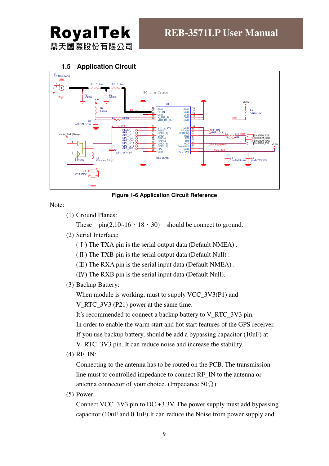

**1.5 Application Circuit** 



**Figure 1-6 Application Circuit Reference** 

Note:

(1) Ground Planes:

These  $pin(2,10-16 \cdot 18 \cdot 30)$  should be connect to ground.

(2) Serial Interface:

(Ⅰ) The TXA pin is the serial output data (Default NMEA) .

(Ⅱ) The TXB pin is the serial output data (Default Null) .

 $(\mathbb{II})$  The RXA pin is the serial input data (Default NMEA).

(Ⅳ) The RXB pin is the serial input data (Default Null).

(3) Backup Battery:

When module is working, must to supply VCC 3V3(P1) and

V\_RTC\_3V3 (P21) power at the same time.

It's recommended to connect a backup battery to V\_RTC\_3V3 pin.

In order to enable the warm start and hot start features of the GPS receiver.

If you use backup battery, should be add a bypassing capacitor (10uF) at

V RTC 3V3 pin. It can reduce noise and increase the stability.

(4) RF\_IN:

Connecting to the antenna has to be routed on the PCB. The transmission line must to controlled impedance to connect RF\_IN to the antenna or antenna connector of your choice. (Impedance  $50\Omega$ )

(5) Power:

Connect VCC  $3V3$  pin to DC +3.3V. The power supply must add bypassing capacitor (10uF and 0.1uF).It can reduce the Noise from power supply and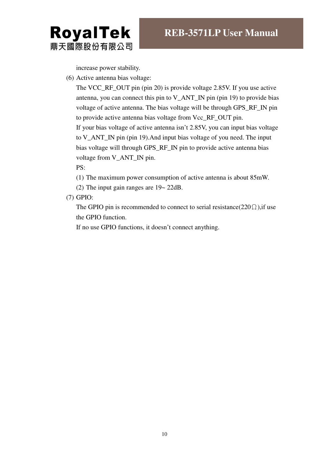**RoyalTek** 鼎天國際股份有限公司

increase power stability.

(6) Active antenna bias voltage:

The VCC\_RF\_OUT pin (pin 20) is provide voltage 2.85V. If you use active antenna, you can connect this pin to V\_ANT\_IN pin (pin 19) to provide bias voltage of active antenna. The bias voltage will be through GPS\_RF\_IN pin to provide active antenna bias voltage from Vcc\_RF\_OUT pin. If your bias voltage of active antenna isn't 2.85V, you can input bias voltage to V\_ANT\_IN pin (pin 19).And input bias voltage of you need. The input bias voltage will through GPS\_RF\_IN pin to provide active antenna bias voltage from V\_ANT\_IN pin.

PS:

(1) The maximum power consumption of active antenna is about 85mW.

(2) The input gain ranges are 19~ 22dB.

(7) GPIO:

The GPIO pin is recommended to connect to serial resistance( $220\Omega$ ), if use the GPIO function.

If no use GPIO functions, it doesn't connect anything.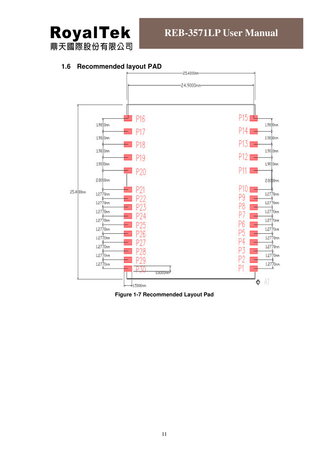

#### **1.6 Recommended layout PAD**



**Figure 1-7 Recommended Layout Pad**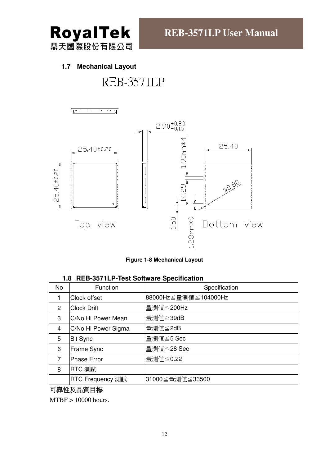

#### **1.7 Mechanical Layout**

## REB-3571LP





| 1.8 REB-3571LP-Test Software Specification |  |
|--------------------------------------------|--|
|                                            |  |

| <b>No</b> | Function            | Specification        |
|-----------|---------------------|----------------------|
|           | Clock offset        | 88000Hz≤量測値≤104000Hz |
| 2         | <b>Clock Drift</b>  | 量測値≦200Hz            |
| 3         | C/No Hi Power Mean  | 量測值≧39dB             |
| 4         | C/No Hi Power Sigma | 量測値≦2dB              |
| 5         | <b>Bit Sync</b>     | 量測値≦5 Sec            |
| 6         | Frame Sync          | 量測値≦28 Sec           |
| 7         | <b>Phase Error</b>  | 量測値≦0.22             |
| 8         | RTC 測試              |                      |
|           | RTC Frequency 測試    | 31000≤量測値≤33500      |

#### 可靠性及品質目標

MTBF > 10000 hours.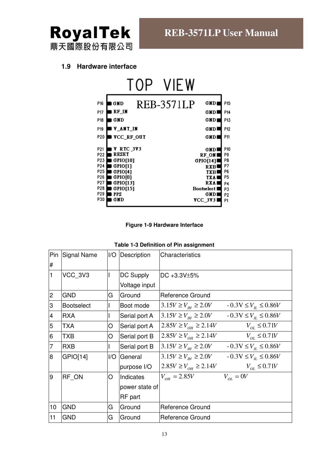

#### **1.9 Hardware interface**



#### **Figure 1-9 Hardware Interface**

|  |  |  |  |  | Table 1-3 Definition of Pin assignment |
|--|--|--|--|--|----------------------------------------|
|--|--|--|--|--|----------------------------------------|

| Pin<br>#       | Signal Name       | 1/O | Description    | Characteristics                    |                                    |
|----------------|-------------------|-----|----------------|------------------------------------|------------------------------------|
| I1             | VCC 3V3           |     | DC Supply      | DC +3.3V±5%                        |                                    |
|                |                   |     | Voltage input  |                                    |                                    |
| $\overline{2}$ | <b>GND</b>        | G   | Ground         | Reference Ground                   |                                    |
| 3              | <b>Bootselect</b> |     | Boot mode      | $3.15V \ge V_{\mu} \ge 2.0V$       | $-0.3V \le V_{\text{H}} \le 0.86V$ |
| $\overline{A}$ | <b>RXA</b>        |     | Serial port A  | $3.15V \ge V_{\mu} \ge 2.0V$       | $-0.3V \le V_{\text{H}} \le 0.86V$ |
| 5              | <b>TXA</b>        | O   | Serial port A  | $2.85V \ge V_{OH} \ge 2.14V$       | $V_{OL} \leq 0.71V$                |
| 6              | <b>TXB</b>        | O   | Serial port B  | $2.85V \ge V_{OH} \ge 2.14V$       | $V_{oi} \leq 0.71V$                |
| $\overline{7}$ | <b>RXB</b>        |     | Serial port B  | $3.15V \ge V_{\text{th}} \ge 2.0V$ | $-0.3V \le V_{\text{H}} \le 0.86V$ |
| $8\phantom{1}$ | GPIO[14]          | I/O | General        | $3.15V \ge V_{\mu} \ge 2.0V$       | $-0.3V \le V_{\text{H}} \le 0.86V$ |
|                |                   |     | purpose I/O    | $2.85V \ge V_{OH} \ge 2.14V$       | $V_{OL} \leq 0.71V$                |
| l9             | RF ON             | O   | Indicates      | $V_{OH} = 2.85V$                   | $V_{\alpha} = 0V$                  |
|                |                   |     | power state of |                                    |                                    |
|                |                   |     | RF part        |                                    |                                    |
| 10             | <b>GND</b>        | G   | Ground         | Reference Ground                   |                                    |
| 11             | <b>GND</b>        | G   | Ground         | Reference Ground                   |                                    |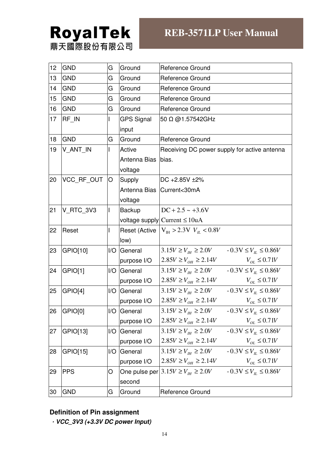# **RoyalTek**<br>鼎天國際股份有限公司

### **REB-3571LP User Manual**

| 12 | <b>GND</b> | G                       | Ground            | <b>Reference Ground</b>                                                  |  |  |
|----|------------|-------------------------|-------------------|--------------------------------------------------------------------------|--|--|
| 13 | <b>GND</b> | G                       | Ground            | <b>Reference Ground</b>                                                  |  |  |
| 14 | <b>GND</b> | G                       | Ground            | <b>Reference Ground</b>                                                  |  |  |
| 15 | <b>GND</b> | G                       | Ground            | Reference Ground                                                         |  |  |
| 16 | <b>GND</b> | G                       | Ground            | <b>Reference Ground</b>                                                  |  |  |
| 17 | RF_IN      |                         | <b>GPS Signal</b> | 50 Ω @1.57542GHz                                                         |  |  |
|    |            |                         | input             |                                                                          |  |  |
| 18 | <b>GND</b> | G                       | Ground            | <b>Reference Ground</b>                                                  |  |  |
| 19 | V_ANT_IN   |                         | Active            | Receiving DC power supply for active antenna                             |  |  |
|    |            |                         | Antenna Bias      | bias.                                                                    |  |  |
|    |            |                         | voltage           |                                                                          |  |  |
| 20 | VCC RF OUT | O                       | Supply            | DC +2.85V ±2%                                                            |  |  |
|    |            |                         |                   | Antenna Bias   Current<30mA                                              |  |  |
|    |            |                         | voltage           |                                                                          |  |  |
| 21 | V RTC 3V3  |                         | Backup            | $DC + 2.5 \sim +3.6V$                                                    |  |  |
|    |            |                         |                   | voltage supply $Current \leq 10uA$                                       |  |  |
| 22 | Reset      |                         |                   | Reset (Active $ V_{\text{H}} > 2.3V V_{\text{H}} < 0.8V$                 |  |  |
|    |            |                         | low)              |                                                                          |  |  |
| 23 | GPIO[10]   | 1/O                     | General           | $3.15V \ge V_{\mu} \ge 2.0V$<br>$-0.3V \le V_L \le 0.86V$                |  |  |
|    |            |                         | purpose I/O       | $2.85V \ge V_{OH} \ge 2.14V$<br>$V_{OL} \leq 0.71V$                      |  |  |
| 24 | GPIO[1]    | I/O                     | General           | $3.15V \ge V_H \ge 2.0V$ $-0.3V \le V_L \le 0.86V$                       |  |  |
|    |            |                         | purpose I/O       | $V_{OL} \leq 0.71V$<br>$2.85V \ge V_{OH} \ge 2.14V$                      |  |  |
| 25 | GPIO[4]    | $\mathsf{I}/\mathsf{O}$ | General           | $3.15V \ge V_H \ge 2.0V$ $-0.3V \le V_H \le 0.86V$                       |  |  |
|    |            |                         | purpose I/O       | $V_{o\scriptscriptstyle L} \leq 0.71 V$<br>$2.85V \ge V_{OH} \ge 2.14V$  |  |  |
| 26 | GPIO[0]    |                         | I/O General       | $3.15V \ge V_{th} \ge 2.0V$<br>$-0.3V \le V_L \le 0.86V$                 |  |  |
|    |            |                         | purpose I/O       | $2.85V \ge V_{OH} \ge 2.14V$<br>$V_{OL} \leq 0.71V$                      |  |  |
| 27 | GPIO[13]   | I/O                     | General           | $-0.3V \le V_L \le 0.86V$<br>$3.15V \ge V_{\mu} \ge 2.0V$                |  |  |
|    |            |                         | purpose I/O       | $2.85V \ge V_{OH} \ge 2.14V$<br>$V_{OL} \leq 0.71V$                      |  |  |
| 28 | GPIO[15]   | I/O                     | General           | $-0.3V \le V_L \le 0.86V$<br>$3.15V \ge V_{\mu} \ge 2.0V$                |  |  |
|    |            |                         | purpose I/O       | $2.85V \ge V_{OH} \ge 2.14V$<br>$V_{OL} \leq 0.71V$                      |  |  |
| 29 | <b>PPS</b> | O                       |                   | One pulse per $3.15V \geq V_{th} \geq 2.0V$<br>$-0.3V \le V_L \le 0.86V$ |  |  |
|    |            |                         | second            |                                                                          |  |  |
| 30 | <b>GND</b> | G                       | Ground            | <b>Reference Ground</b>                                                  |  |  |

#### **Definition of Pin assignment**

.**VCC\_3V3 (+3.3V DC power Input)**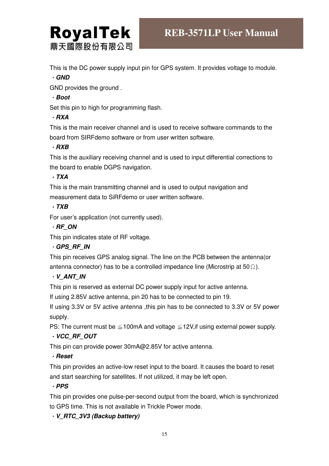

This is the DC power supply input pin for GPS system. It provides voltage to module.

#### .**GND**

GND provides the ground .

#### .**Boot**

Set this pin to high for programming flash.

#### .**RXA**

This is the main receiver channel and is used to receive software commands to the board from SIRFdemo software or from user written software.

#### .**RXB**

This is the auxiliary receiving channel and is used to input differential corrections to the board to enable DGPS navigation.

#### .**TXA**

This is the main transmitting channel and is used to output navigation and measurement data to SiRFdemo or user written software.

#### .**TXB**

For user's application (not currently used).

#### .**RF\_ON**

This pin indicates state of RF voltage.

#### .**GPS\_RF\_IN**

This pin receives GPS analog signal. The line on the PCB between the antenna(or antenna connector) has to be a controlled impedance line (Microstrip at  $50\Omega$ ).

#### .**V\_ANT\_IN**

This pin is reserved as external DC power supply input for active antenna.

If using 2.85V active antenna, pin 20 has to be connected to pin 19.

If using 3.3V or 5V active antenna ,this pin has to be connected to 3.3V or 5V power supply.

PS: The current must be  $\leq 100$ mA and voltage  $\leq 12V$ , if using external power supply.

#### .**VCC\_RF\_OUT**

This pin can provide power 30mA@2.85V for active antenna.

#### .**Reset**

This pin provides an active-low reset input to the board. It causes the board to reset and start searching for satellites. If not utilized, it may be left open.

#### .**PPS**

This pin provides one pulse-per-second output from the board, which is synchronized to GPS time. This is not available in Trickle Power mode.

.**V\_RTC\_3V3 (Backup battery)**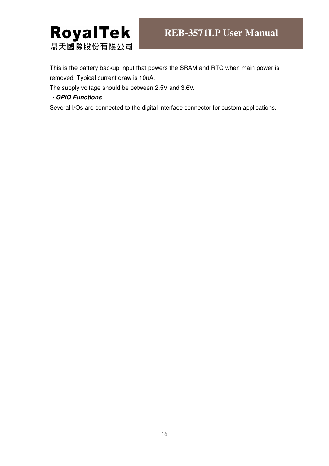

This is the battery backup input that powers the SRAM and RTC when main power is removed. Typical current draw is 10uA.

The supply voltage should be between 2.5V and 3.6V.

#### .**GPIO Functions**

Several I/Os are connected to the digital interface connector for custom applications.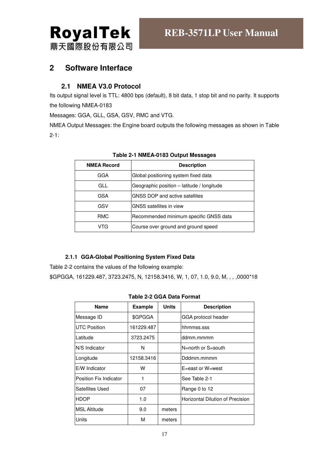

#### **2 Software Interface**

#### **2.1 NMEA V3.0 Protocol**

Its output signal level is TTL: 4800 bps (default), 8 bit data, 1 stop bit and no parity. It supports the following NMEA-0183

Messages: GGA, GLL, GSA, GSV, RMC and VTG.

NMEA Output Messages: the Engine board outputs the following messages as shown in Table 2-1:

| GGA<br>Global positioning system fixed data          | <b>NMEA Record</b> | <b>Description</b>                           |
|------------------------------------------------------|--------------------|----------------------------------------------|
|                                                      |                    |                                              |
|                                                      | GLL                | Geographic position $-$ latitude / longitude |
| GNSS DOP and active satellites<br>GSA                |                    |                                              |
| GSV<br><b>GNSS</b> satellites in view                |                    |                                              |
| Recommended minimum specific GNSS data<br><b>RMC</b> |                    |                                              |
| Course over ground and ground speed<br>VTG           |                    |                                              |

#### **Table 2-1 NMEA-0183 Output Messages**

#### **2.1.1 GGA-Global Positioning System Fixed Data**

Table 2-2 contains the values of the following example: \$GPGGA, 161229.487, 3723.2475, N, 12158.3416, W, 1, 07, 1.0, 9.0, M, , , ,0000\*18

#### **Table 2-2 GGA Data Format**

| <b>Example</b> | <b>Units</b> | <b>Description</b>               |
|----------------|--------------|----------------------------------|
| \$GPGGA        |              | GGA protocol header              |
| 161229.487     |              | hhmmss.sss                       |
| 3723.2475      |              | ddmm.mmmm                        |
| N              |              | N=north or S=south               |
| 12158.3416     |              | Dddmm.mmmm                       |
| w              |              | E=east or W=west                 |
| 1              |              | See Table 2-1                    |
| 07             |              | Range 0 to 12                    |
| 1.0            |              | Horizontal Dilution of Precision |
| 9.0            | meters       |                                  |
| М              | meters       |                                  |
|                |              |                                  |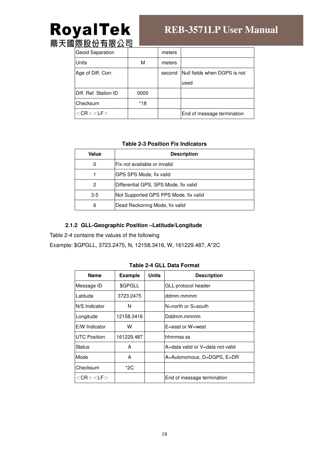# **RoyalTek**<br>鼎天國際股份有限公司

## **REB-3571LP User Manual**

| <u>" l까 lix liv ᄇ liv 스 닌</u> |      |        |                              |
|-------------------------------|------|--------|------------------------------|
| <b>Geoid Separation</b>       |      | meters |                              |
| Units                         | м    | meters |                              |
| Age of Diff. Corr.            |      | second | Null fields when DGPS is not |
|                               |      |        | used                         |
| Diff. Ref. Station ID         | 0000 |        |                              |
| Checksum                      | *18  |        |                              |
| $<$ CR $>$ $<$ LF $>$         |      |        | End of message termination   |

#### **Table 2-3 Position Fix Indicators**

| Value                                          | <b>Description</b>                    |  |  |  |
|------------------------------------------------|---------------------------------------|--|--|--|
| 0                                              | Fix not available or invalid          |  |  |  |
|                                                | GPS SPS Mode, fix valid               |  |  |  |
| 2                                              | Differential GPS, SPS Mode, fix valid |  |  |  |
| Not Supported GPS PPS Mode, fix valid<br>$3-5$ |                                       |  |  |  |
| 6                                              | Dead Reckoning Mode, fix valid        |  |  |  |

#### **2.1.2 GLL-Geographic Position –Latitude/Longitude**

Table 2-4 contains the values of the following

Example: \$GPGLL, 3723.2475, N, 12158.3416, W, 161229.487, A\*2C

| $1$ ubic $L^-$ T GLL Dulu I OMIRI |                |              |                                  |  |  |  |  |
|-----------------------------------|----------------|--------------|----------------------------------|--|--|--|--|
| <b>Name</b>                       | <b>Example</b> | <b>Units</b> | <b>Description</b>               |  |  |  |  |
| Message ID                        | \$GPGLL        |              | GLL protocol header              |  |  |  |  |
| Latitude                          | 3723.2475      |              | ddmm.mmmm                        |  |  |  |  |
| N/S Indicator                     | N              |              | $N =$ north or $S =$ south       |  |  |  |  |
| Longitude                         | 12158.3416     |              | Dddmm.mmmm                       |  |  |  |  |
| E/W Indicator                     | w              |              | $E = east$ or $W = west$         |  |  |  |  |
| <b>UTC Position</b>               | 161229.487     |              | hhmmss.ss                        |  |  |  |  |
| Status                            | A              |              | A=data valid or V=data not valid |  |  |  |  |
| Mode                              | A              |              | A=Autonomous, D=DGPS, E=DR       |  |  |  |  |
| Checksum                          | *2C            |              |                                  |  |  |  |  |
| $<$ CR $>$ $<$ LF $>$             |                |              | End of message termination       |  |  |  |  |

#### **Table 2-4 GLL Data Format**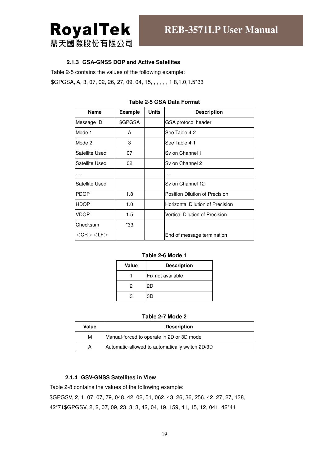

#### **2.1.3 GSA-GNSS DOP and Active Satellites**

Table 2-5 contains the values of the following example:

\$GPGSA, A, 3, 07, 02, 26, 27, 09, 04, 15, , , , , , 1.8, 1.0, 1.5\*33

| <b>Name</b>           | <b>Example</b> | <b>Units</b> | <b>Description</b>               |
|-----------------------|----------------|--------------|----------------------------------|
| Message ID            | \$GPGSA        |              | GSA protocol header              |
| Mode 1                | A              |              | See Table 4-2                    |
| Mode 2                | 3              |              | See Table 4-1                    |
| Satellite Used        | 07             |              | Sv on Channel 1                  |
| Satellite Used        | 02             |              | Sv on Channel 2                  |
|                       |                |              |                                  |
| Satellite Used        |                |              | Sv on Channel 12                 |
| <b>PDOP</b>           | 1.8            |              | Position Dilution of Precision   |
| <b>HDOP</b>           | 1.0            |              | Horizontal Dilution of Precision |
| <b>VDOP</b>           | 1.5            |              | Vertical Dilution of Precision   |
| Checksum              | *33            |              |                                  |
| $<$ CR $>$ $<$ LF $>$ |                |              | End of message termination       |

#### **Table 2-5 GSA Data Format**

#### **Table 2-6 Mode 1**

| Value | <b>Description</b> |  |  |
|-------|--------------------|--|--|
|       | Fix not available  |  |  |
| 2     | 2D                 |  |  |
|       | ЗD                 |  |  |

#### **Table 2-7 Mode 2**

| Value | <b>Description</b>                              |  |  |  |
|-------|-------------------------------------------------|--|--|--|
| М     | Manual-forced to operate in 2D or 3D mode       |  |  |  |
| А     | Automatic-allowed to automatically switch 2D/3D |  |  |  |

#### **2.1.4 GSV-GNSS Satellites in View**

Table 2-8 contains the values of the following example:

\$GPGSV, 2, 1, 07, 07, 79, 048, 42, 02, 51, 062, 43, 26, 36, 256, 42, 27, 27, 138, 42\*71\$GPGSV, 2, 2, 07, 09, 23, 313, 42, 04, 19, 159, 41, 15, 12, 041, 42\*41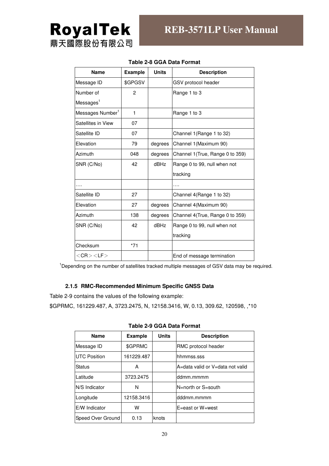

| <b>Name</b>                  | <b>Example</b> | <b>Units</b> | <b>Description</b>               |
|------------------------------|----------------|--------------|----------------------------------|
| Message ID                   | \$GPGSV        |              | GSV protocol header              |
| Number of                    | $\overline{2}$ |              | Range 1 to 3                     |
| Messages <sup>1</sup>        |                |              |                                  |
| Messages Number <sup>1</sup> | 1              |              | Range 1 to 3                     |
| Satellites in View           | 07             |              |                                  |
| Satellite ID                 | 07             |              | Channel 1 (Range 1 to 32)        |
| Elevation                    | 79             | degrees      | Channel 1 (Maximum 90)           |
| Azimuth                      | 048            | degrees      | Channel 1 (True, Range 0 to 359) |
| SNR (C/No)                   | 42             | dBHz         | Range 0 to 99, null when not     |
|                              |                |              | tracking                         |
|                              |                |              |                                  |
| Satellite ID                 | 27             |              | Channel 4(Range 1 to 32)         |
| Elevation                    | 27             | degrees      | Channel 4(Maximum 90)            |
| Azimuth                      | 138            | degrees      | Channel 4(True, Range 0 to 359)  |
| SNR (C/No)                   | 42             | dBHz         | Range 0 to 99, null when not     |
|                              |                |              | tracking                         |
| Checksum                     | $*71$          |              |                                  |
| $<$ CR $>$ $<$ LF $>$        |                |              | End of message termination       |

#### **Table 2-8 GGA Data Format**

<sup>1</sup>Depending on the number of satellites tracked multiple messages of GSV data may be required.

#### **2.1.5 RMC-Recommended Minimum Specific GNSS Data**

Table 2-9 contains the values of the following example:

\$GPRMC, 161229.487, A, 3723.2475, N, 12158.3416, W, 0.13, 309.62, 120598, ,\*10

| <b>Name</b>         | <b>Example</b> | <b>Units</b> | <b>Description</b>               |
|---------------------|----------------|--------------|----------------------------------|
| Message ID          | \$GPRMC        |              | RMC protocol header              |
| <b>UTC Position</b> | 161229.487     |              | hhmmss.sss                       |
| Status              | A              |              | A=data valid or V=data not valid |
| Latitude            | 3723.2475      |              | ddmm.mmmm                        |
| N/S Indicator       | N              |              | N=north or S=south               |
| Longitude           | 12158.3416     |              | dddmm.mmmm                       |
| E/W Indicator       | w              |              | E=east or W=west                 |
| Speed Over Ground   | 0.13           | knots        |                                  |
|                     |                |              |                                  |

**Table 2-9 GGA Data Format**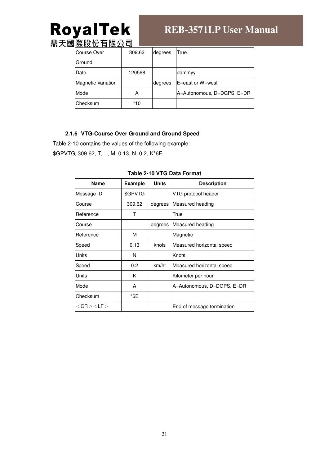# **RoyalTek**<br>鼎天國際股份有限公司

### **REB-3571LP User Manual**

| <u>י אז הן נע געשע</u>    |        |         |                            |
|---------------------------|--------|---------|----------------------------|
| Course Over               | 309.62 | degrees | True                       |
| <b>Ground</b>             |        |         |                            |
| Date                      | 120598 |         | ddmmyy                     |
| <b>Magnetic Variation</b> |        | degrees | E=east or W=west           |
| Mode                      | А      |         | A=Autonomous, D=DGPS, E=DR |
| Checksum                  | *10    |         |                            |

#### **2.1.6 VTG-Course Over Ground and Ground Speed**

Table 2-10 contains the values of the following example:

\$GPVTG, 309.62, T, , M, 0.13, N, 0.2, K\*6E

| <b>Name</b>           | <b>Example</b> | <b>Units</b> | <b>Description</b>         |  |
|-----------------------|----------------|--------------|----------------------------|--|
| Message ID            | \$GPVTG        |              | VTG protocol header        |  |
| Course                | 309.62         | degrees      | Measured heading           |  |
| IReference            | т              |              | True                       |  |
| <b>Course</b>         |                | degrees      | Measured heading           |  |
| <b>IReference</b>     | M              |              | Magnetic                   |  |
| Speed                 | 0.13           | knots        | Measured horizontal speed  |  |
| <b>Units</b>          | N              |              | Knots                      |  |
| Speed                 | 0.2            | km/hr        | Measured horizontal speed  |  |
| <b>Units</b>          | K              |              | Kilometer per hour         |  |
| Mode                  | A              |              | A=Autonomous, D=DGPS, E=DR |  |
| Checksum              | *6E            |              |                            |  |
| $<$ CR $>$ $<$ LF $>$ |                |              | End of message termination |  |

#### **Table 2-10 VTG Data Format**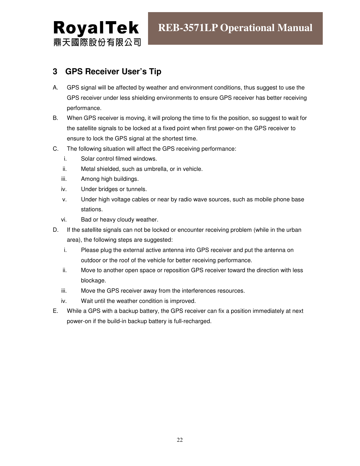#### **3 GPS Receiver User's Tip**

- A. GPS signal will be affected by weather and environment conditions, thus suggest to use the GPS receiver under less shielding environments to ensure GPS receiver has better receiving performance.
- B. When GPS receiver is moving, it will prolong the time to fix the position, so suggest to wait for the satellite signals to be locked at a fixed point when first power-on the GPS receiver to ensure to lock the GPS signal at the shortest time.
- C. The following situation will affect the GPS receiving performance:
	- i. Solar control filmed windows.
	- ii. Metal shielded, such as umbrella, or in vehicle.
	- iii. Among high buildings.
	- iv. Under bridges or tunnels.
	- v. Under high voltage cables or near by radio wave sources, such as mobile phone base stations.
	- vi. Bad or heavy cloudy weather.
- D. If the satellite signals can not be locked or encounter receiving problem (while in the urban area), the following steps are suggested:
	- i. Please plug the external active antenna into GPS receiver and put the antenna on outdoor or the roof of the vehicle for better receiving performance.
	- ii. Move to another open space or reposition GPS receiver toward the direction with less blockage.
	- iii. Move the GPS receiver away from the interferences resources.
	- iv. Wait until the weather condition is improved.
- E. While a GPS with a backup battery, the GPS receiver can fix a position immediately at next power-on if the build-in backup battery is full-recharged.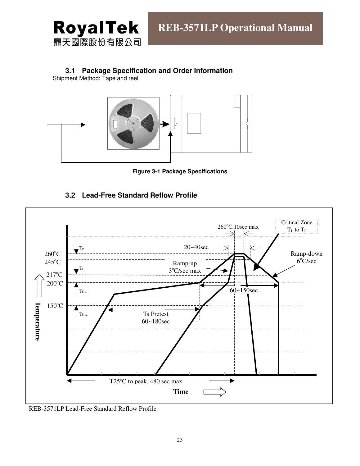

#### **3.1 Package Specification and Order Information**

Shipment Method: Tape and reel



**Figure 3-1 Package Specifications** 

#### **3.2 Lead-Free Standard Reflow Profile**